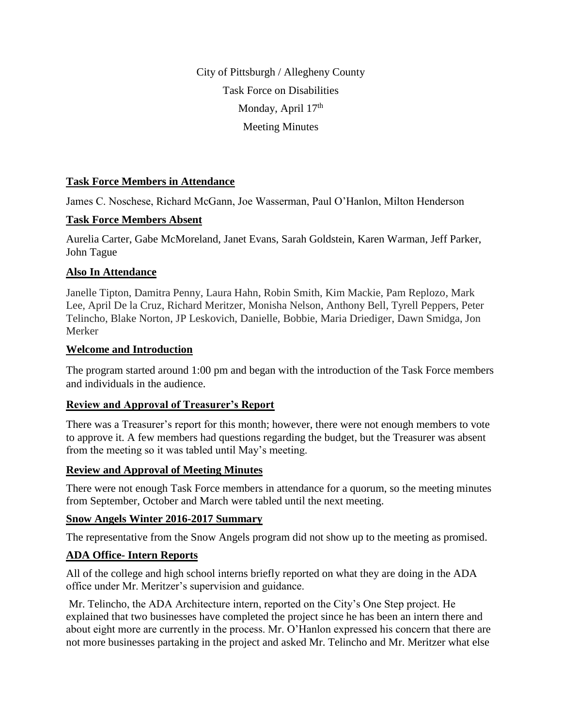City of Pittsburgh / Allegheny County Task Force on Disabilities Monday, April 17<sup>th</sup> Meeting Minutes

### **Task Force Members in Attendance**

James C. Noschese, Richard McGann, Joe Wasserman, Paul O'Hanlon, Milton Henderson

### **Task Force Members Absent**

Aurelia Carter, Gabe McMoreland, Janet Evans, Sarah Goldstein, Karen Warman, Jeff Parker, John Tague

# **Also In Attendance**

Janelle Tipton, Damitra Penny, Laura Hahn, Robin Smith, Kim Mackie, Pam Replozo, Mark Lee, April De la Cruz, Richard Meritzer, Monisha Nelson, Anthony Bell, Tyrell Peppers, Peter Telincho, Blake Norton, JP Leskovich, Danielle, Bobbie, Maria Driediger, Dawn Smidga, Jon Merker

### **Welcome and Introduction**

The program started around 1:00 pm and began with the introduction of the Task Force members and individuals in the audience.

### **Review and Approval of Treasurer's Report**

There was a Treasurer's report for this month; however, there were not enough members to vote to approve it. A few members had questions regarding the budget, but the Treasurer was absent from the meeting so it was tabled until May's meeting.

### **Review and Approval of Meeting Minutes**

There were not enough Task Force members in attendance for a quorum, so the meeting minutes from September, October and March were tabled until the next meeting.

# **Snow Angels Winter 2016-2017 Summary**

The representative from the Snow Angels program did not show up to the meeting as promised.

# **ADA Office- Intern Reports**

All of the college and high school interns briefly reported on what they are doing in the ADA office under Mr. Meritzer's supervision and guidance.

Mr. Telincho, the ADA Architecture intern, reported on the City's One Step project. He explained that two businesses have completed the project since he has been an intern there and about eight more are currently in the process. Mr. O'Hanlon expressed his concern that there are not more businesses partaking in the project and asked Mr. Telincho and Mr. Meritzer what else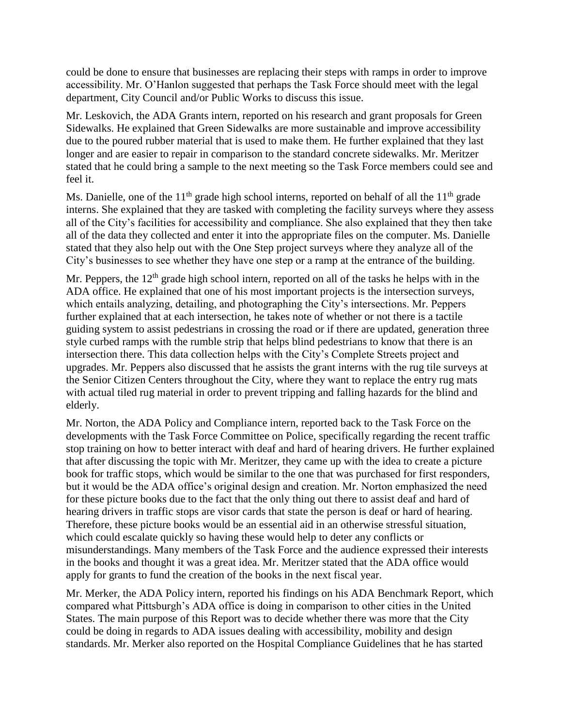could be done to ensure that businesses are replacing their steps with ramps in order to improve accessibility. Mr. O'Hanlon suggested that perhaps the Task Force should meet with the legal department, City Council and/or Public Works to discuss this issue.

Mr. Leskovich, the ADA Grants intern, reported on his research and grant proposals for Green Sidewalks. He explained that Green Sidewalks are more sustainable and improve accessibility due to the poured rubber material that is used to make them. He further explained that they last longer and are easier to repair in comparison to the standard concrete sidewalks. Mr. Meritzer stated that he could bring a sample to the next meeting so the Task Force members could see and feel it.

Ms. Danielle, one of the  $11<sup>th</sup>$  grade high school interns, reported on behalf of all the  $11<sup>th</sup>$  grade interns. She explained that they are tasked with completing the facility surveys where they assess all of the City's facilities for accessibility and compliance. She also explained that they then take all of the data they collected and enter it into the appropriate files on the computer. Ms. Danielle stated that they also help out with the One Step project surveys where they analyze all of the City's businesses to see whether they have one step or a ramp at the entrance of the building.

Mr. Peppers, the  $12<sup>th</sup>$  grade high school intern, reported on all of the tasks he helps with in the ADA office. He explained that one of his most important projects is the intersection surveys, which entails analyzing, detailing, and photographing the City's intersections. Mr. Peppers further explained that at each intersection, he takes note of whether or not there is a tactile guiding system to assist pedestrians in crossing the road or if there are updated, generation three style curbed ramps with the rumble strip that helps blind pedestrians to know that there is an intersection there. This data collection helps with the City's Complete Streets project and upgrades. Mr. Peppers also discussed that he assists the grant interns with the rug tile surveys at the Senior Citizen Centers throughout the City, where they want to replace the entry rug mats with actual tiled rug material in order to prevent tripping and falling hazards for the blind and elderly.

Mr. Norton, the ADA Policy and Compliance intern, reported back to the Task Force on the developments with the Task Force Committee on Police, specifically regarding the recent traffic stop training on how to better interact with deaf and hard of hearing drivers. He further explained that after discussing the topic with Mr. Meritzer, they came up with the idea to create a picture book for traffic stops, which would be similar to the one that was purchased for first responders, but it would be the ADA office's original design and creation. Mr. Norton emphasized the need for these picture books due to the fact that the only thing out there to assist deaf and hard of hearing drivers in traffic stops are visor cards that state the person is deaf or hard of hearing. Therefore, these picture books would be an essential aid in an otherwise stressful situation, which could escalate quickly so having these would help to deter any conflicts or misunderstandings. Many members of the Task Force and the audience expressed their interests in the books and thought it was a great idea. Mr. Meritzer stated that the ADA office would apply for grants to fund the creation of the books in the next fiscal year.

Mr. Merker, the ADA Policy intern, reported his findings on his ADA Benchmark Report, which compared what Pittsburgh's ADA office is doing in comparison to other cities in the United States. The main purpose of this Report was to decide whether there was more that the City could be doing in regards to ADA issues dealing with accessibility, mobility and design standards. Mr. Merker also reported on the Hospital Compliance Guidelines that he has started